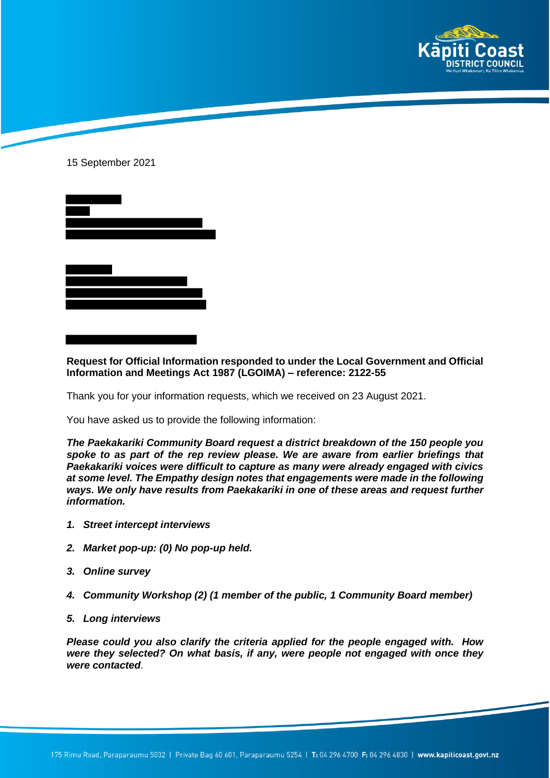

## 15 September 2021



## **Request for Official Information responded to under the Local Government and Official Information and Meetings Act 1987 (LGOIMA) – reference: 2122-55**

Thank you for your information requests, which we received on 23 August 2021.

You have asked us to provide the following information:

*The Paekakariki Community Board request a district breakdown of the 150 people you spoke to as part of the rep review please. We are aware from earlier briefings that Paekakariki voices were difficult to capture as many were already engaged with civics at some level. The Empathy design notes that engagements were made in the following ways. We only have results from Paekakariki in one of these areas and request further information.*

- *1. Street intercept interviews*
- *2. Market pop-up: (0) No pop-up held.*
- *3. Online survey*
- *4. Community Workshop (2) (1 member of the public, 1 Community Board member)*
- *5. Long interviews*

*Please could you also clarify the criteria applied for the people engaged with. How were they selected? On what basis, if any, were people not engaged with once they were contacted*.